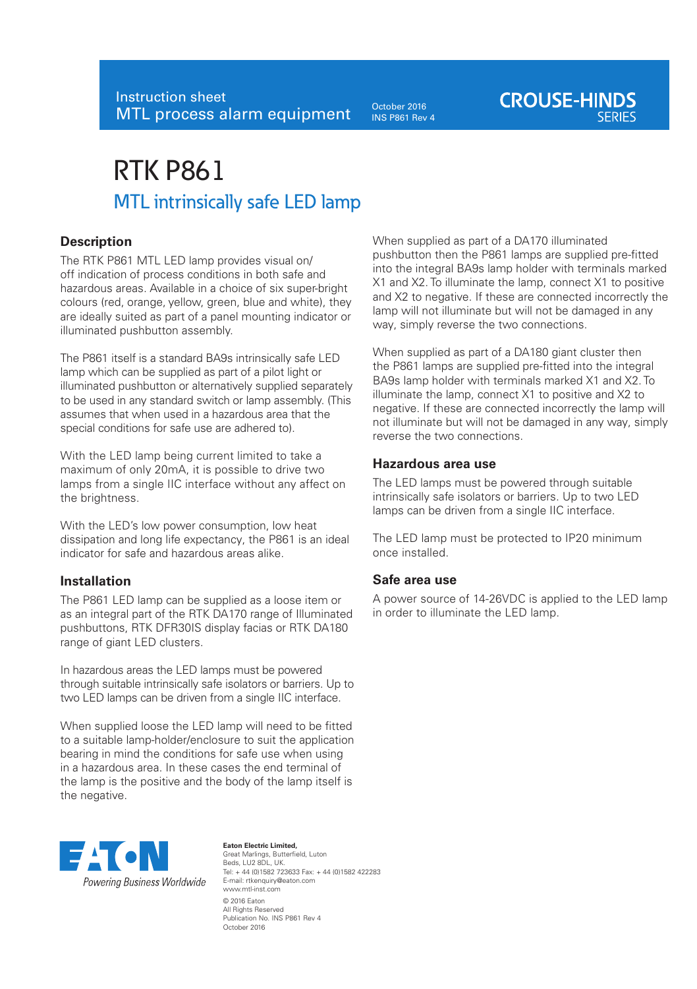October 2016 INS P861 Rev 4

# RTK P861 MTL intrinsically safe LED lamp

# **Description**

The RTK P861 MTL LED lamp provides visual on/ off indication of process conditions in both safe and hazardous areas. Available in a choice of six super-bright colours (red, orange, yellow, green, blue and white), they are ideally suited as part of a panel mounting indicator or illuminated pushbutton assembly.

The P861 itself is a standard BA9s intrinsically safe LED lamp which can be supplied as part of a pilot light or illuminated pushbutton or alternatively supplied separately to be used in any standard switch or lamp assembly. (This assumes that when used in a hazardous area that the special conditions for safe use are adhered to).

With the LED lamp being current limited to take a maximum of only 20mA, it is possible to drive two lamps from a single IIC interface without any affect on the brightness.

With the LED's low power consumption, low heat dissipation and long life expectancy, the P861 is an ideal indicator for safe and hazardous areas alike.

# **Installation**

The P861 LED lamp can be supplied as a loose item or as an integral part of the RTK DA170 range of Illuminated pushbuttons, RTK DFR30IS display facias or RTK DA180 range of giant LED clusters.

In hazardous areas the LED lamps must be powered through suitable intrinsically safe isolators or barriers. Up to two LED lamps can be driven from a single IIC interface.

When supplied loose the LED lamp will need to be fitted to a suitable lamp-holder/enclosure to suit the application bearing in mind the conditions for safe use when using in a hazardous area. In these cases the end terminal of the lamp is the positive and the body of the lamp itself is the negative.



**Eaton Electric Limited,**  Great Marlings, Butterfield, Luton Beds, LU2 8DL, UK. Tel: + 44 (0)1582 723633 Fax: + 44 (0)1582 422283 E-mail: rtkenquiry@eaton.com www.mtl-inst.com © 2016 Eaton All Rights Reserved Publication No. INS P861 Rev 4 October 2016

When supplied as part of a DA170 illuminated pushbutton then the P861 lamps are supplied pre-fitted into the integral BA9s lamp holder with terminals marked X1 and X2. To illuminate the lamp, connect X1 to positive and X2 to negative. If these are connected incorrectly the lamp will not illuminate but will not be damaged in any way, simply reverse the two connections.

**CROUSE-HINDS** 

When supplied as part of a DA180 giant cluster then the P861 lamps are supplied pre-fitted into the integral BA9s lamp holder with terminals marked X1 and X2. To illuminate the lamp, connect X1 to positive and X2 to negative. If these are connected incorrectly the lamp will not illuminate but will not be damaged in any way, simply reverse the two connections.

### **Hazardous area use**

The LED lamps must be powered through suitable intrinsically safe isolators or barriers. Up to two LED lamps can be driven from a single IIC interface.

The LED lamp must be protected to IP20 minimum once installed.

# **Safe area use**

A power source of 14-26VDC is applied to the LED lamp in order to illuminate the LED lamp.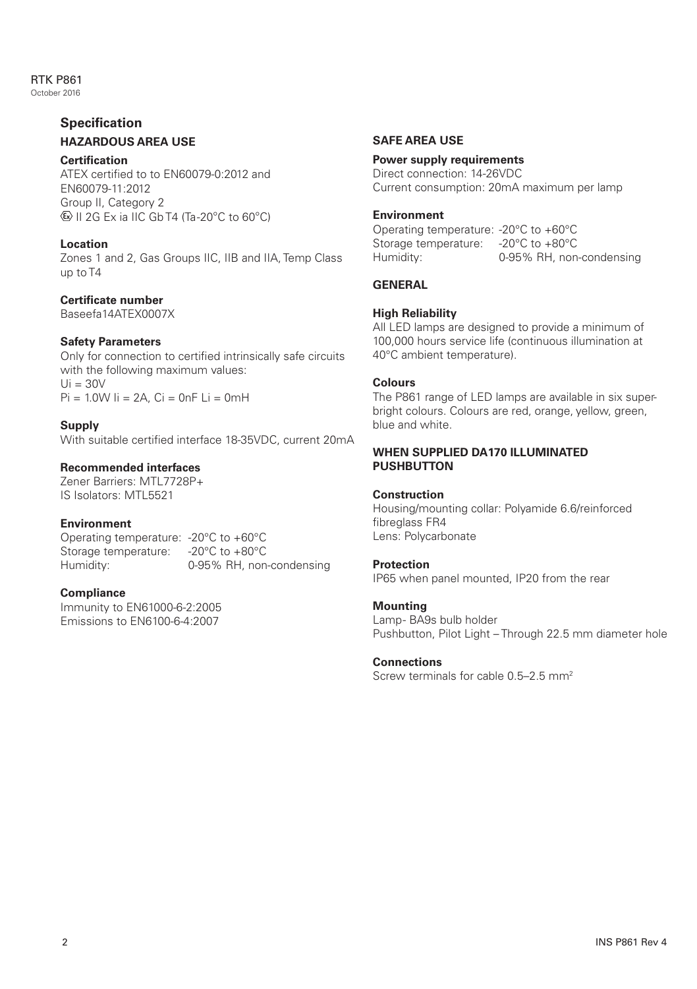### RTK P861 October 2016

# **Specification HAZARDOUS AREA USE**

# **Certification**

ATEX certified to to EN60079-0:2012 and EN60079-11:2012 Group II, Category 2 II 2G Ex ia IIC Gb T4 (Ta -20°C to 60°C)

# **Location**

Zones 1 and 2, Gas Groups IIC, IIB and IIA, Temp Class up to T4

# **Certificate number**

Baseefa14ATEX0007X

# **Safety Parameters**

Only for connection to certified intrinsically safe circuits with the following maximum values:  $U = 30V$  $Pi = 1.0W$   $I = 2A$ ,  $Ci = 0nF$   $Li = 0mH$ 

# **Supply**

With suitable certified interface 18-35VDC, current 20mA

# **Recommended interfaces**

Zener Barriers: MTL7728P+ IS Isolators: MTL5521

# **Environment**

Operating temperature: -20°C to +60°C Storage temperature: -20°C to +80°C<br>Humidity: 0-95% RH, non 0-95% RH, non-condensing

# **Compliance**

Immunity to EN61000-6-2:2005 Emissions to EN6100-6-4:2007

# **SAFE AREA USE**

**Power supply requirements** Direct connection: 14-26VDC Current consumption: 20mA maximum per lamp

# **Environment**

Operating temperature: -20°C to +60°C Storage temperature: -20°C to +80°C Humidity: 0-95% RH, non-condensing

# **GENERAL**

# **High Reliability**

All LED lamps are designed to provide a minimum of 100,000 hours service life (continuous illumination at 40°C ambient temperature).

# **Colours**

The P861 range of LED lamps are available in six superbright colours. Colours are red, orange, yellow, green, blue and white.

# **WHEN SUPPLIED DA170 ILLUMINATED PUSHBUTTON**

# **Construction**

Housing/mounting collar: Polyamide 6.6/reinforced fibreglass FR4 Lens: Polycarbonate

# **Protection**

IP65 when panel mounted, IP20 from the rear

# **Mounting**

Lamp- BA9s bulb holder Pushbutton, Pilot Light – Through 22.5 mm diameter hole

# **Connections**

Screw terminals for cable 0.5–2.5 mm2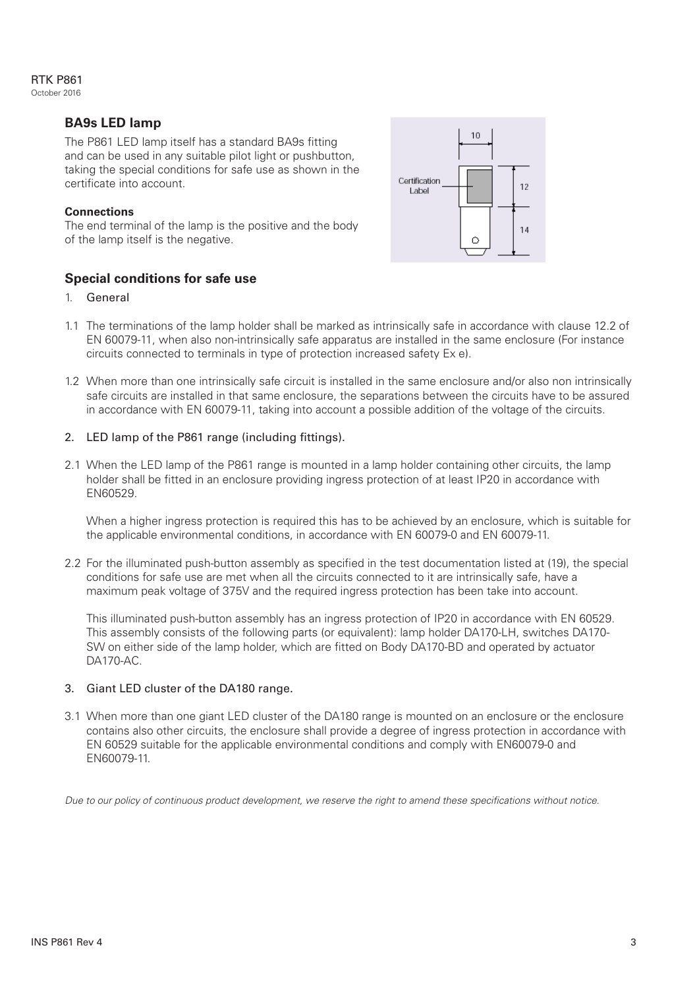# RTK P861

October 2016

# **BA9s LED lamp**

The P861 LED lamp itself has a standard BA9s fitting and can be used in any suitable pilot light or pushbutton, taking the special conditions for safe use as shown in the certificate into account.

# **Connections**

The end terminal of the lamp is the positive and the body of the lamp itself is the negative.



# **Special conditions for safe use**

- 1. General
- 1.1 The terminations of the lamp holder shall be marked as intrinsically safe in accordance with clause 12.2 of EN 60079-11, when also non-intrinsically safe apparatus are installed in the same enclosure (For instance circuits connected to terminals in type of protection increased safety Ex e).
- 1.2 When more than one intrinsically safe circuit is installed in the same enclosure and/or also non intrinsically safe circuits are installed in that same enclosure, the separations between the circuits have to be assured in accordance with EN 60079-11, taking into account a possible addition of the voltage of the circuits.

# 2. LED lamp of the P861 range (including fittings).

2.1 When the LED lamp of the P861 range is mounted in a lamp holder containing other circuits, the lamp holder shall be fitted in an enclosure providing ingress protection of at least IP20 in accordance with EN60529.

When a higher ingress protection is required this has to be achieved by an enclosure, which is suitable for the applicable environmental conditions, in accordance with EN 60079-0 and EN 60079-11.

2.2 For the illuminated push-button assembly as specified in the test documentation listed at (19), the special conditions for safe use are met when all the circuits connected to it are intrinsically safe, have a maximum peak voltage of 375V and the required ingress protection has been take into account.

This illuminated push-button assembly has an ingress protection of IP20 in accordance with EN 60529. This assembly consists of the following parts (or equivalent): lamp holder DA170-LH, switches DA170- SW on either side of the lamp holder, which are fitted on Body DA170-BD and operated by actuator DA170-AC.

# 3. Giant LED cluster of the DA180 range.

3.1 When more than one giant LED cluster of the DA180 range is mounted on an enclosure or the enclosure contains also other circuits, the enclosure shall provide a degree of ingress protection in accordance with EN 60529 suitable for the applicable environmental conditions and comply with EN60079-0 and EN60079-11.

*Due to our policy of continuous product development, we reserve the right to amend these specifications without notice.*